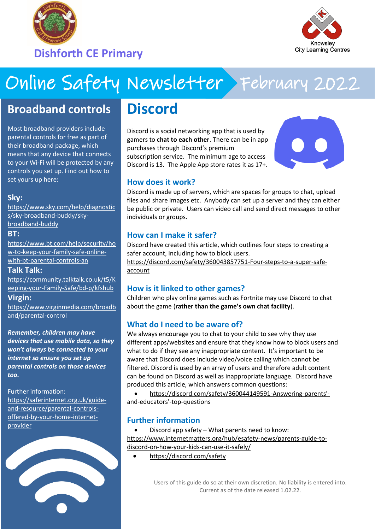



# Online Safety Newsletter February 2022

## **Broadband controls**

Most broadband providers include parental controls for free as part of their broadband package, which means that any device that connects to your Wi-Fi will be protected by any controls you set up. Find out how to set yours up here:

### **Sky:**

[https://www.sky.com/help/diagnostic](https://www.sky.com/help/diagnostics/sky-broadband-buddy/sky-broadband-buddy) [s/sky-broadband-buddy/sky](https://www.sky.com/help/diagnostics/sky-broadband-buddy/sky-broadband-buddy)[broadband-buddy](https://www.sky.com/help/diagnostics/sky-broadband-buddy/sky-broadband-buddy)

#### **BT:**

[https://www.bt.com/help/security/ho](https://www.bt.com/help/security/how-to-keep-your-family-safe-online-with-bt-parental-controls-an) [w-to-keep-your-family-safe-online](https://www.bt.com/help/security/how-to-keep-your-family-safe-online-with-bt-parental-controls-an)[with-bt-parental-controls-an](https://www.bt.com/help/security/how-to-keep-your-family-safe-online-with-bt-parental-controls-an)

### **Talk Talk:**

[https://community.talktalk.co.uk/t5/K](https://community.talktalk.co.uk/t5/Keeping-your-Family-Safe/bd-p/kfshub) [eeping-your-Family-Safe/bd-p/kfshub](https://community.talktalk.co.uk/t5/Keeping-your-Family-Safe/bd-p/kfshub)

### **Virgin:**

[https://www.virginmedia.com/broadb](https://www.virginmedia.com/broadband/parental-control) [and/parental-control](https://www.virginmedia.com/broadband/parental-control)

*Remember, children may have devices that use mobile data, so they won't always be connected to your internet so ensure you set up parental controls on those devices too.*

Further information: [https://saferinternet.org.uk/guide](https://saferinternet.org.uk/guide-and-resource/parental-controls-offered-by-your-home-internet-provider)[and-resource/parental-controls](https://saferinternet.org.uk/guide-and-resource/parental-controls-offered-by-your-home-internet-provider)[offered-by-your-home-internet](https://saferinternet.org.uk/guide-and-resource/parental-controls-offered-by-your-home-internet-provider)[provider](https://saferinternet.org.uk/guide-and-resource/parental-controls-offered-by-your-home-internet-provider)



## **Discord**

Discord is a social networking app that is used by gamers to **chat to each other**. There can be in app purchases through Discord's premium subscription service. The minimum age to access Discord is 13. The Apple App store rates it as 17+.



### **How does it work?**

Discord is made up of servers, which are spaces for groups to chat, upload files and share images etc. Anybody can set up a server and they can either be public or private. Users can video call and send direct messages to other individuals or groups.

### **How can I make it safer?**

Discord have created this article, which outlines four steps to creating a safer account, including how to block users.

[https://discord.com/safety/360043857751-Four-steps-to-a-super-safe](https://discord.com/safety/360043857751-Four-steps-to-a-super-safe-account)[account](https://discord.com/safety/360043857751-Four-steps-to-a-super-safe-account)

### **How is it linked to other games?**

Children who play online games such as Fortnite may use Discord to chat about the game (**rather than the game's own chat facility**).

### **What do I need to be aware of?**

We always encourage you to chat to your child to see why they use different apps/websites and ensure that they know how to block users and what to do if they see any inappropriate content. It's important to be aware that Discord does include video/voice calling which cannot be filtered. Discord is used by an array of users and therefore adult content can be found on Discord as well as inappropriate language. Discord have produced this article, which answers common questions:

• [https://discord.com/safety/360044149591-Answering-parents'](https://discord.com/safety/360044149591-Answering-parents) [and-educators'-top-questions](https://discord.com/safety/360044149591-Answering-parents) 

### **Further information**

• Discord app safety – What parents need to know: [https://www.internetmatters.org/hub/esafety-news/parents-guide-to](https://www.internetmatters.org/hub/esafety-news/parents-guide-to-discord-on-how-your-kids-can-use-it-safely/)[discord-on-how-your-kids-can-use-it-safely/](https://www.internetmatters.org/hub/esafety-news/parents-guide-to-discord-on-how-your-kids-can-use-it-safely/)

• <https://discord.com/safety>

Users of this guide do so at their own discretion. No liability is entered into. Current as of the date released 1.02.22.